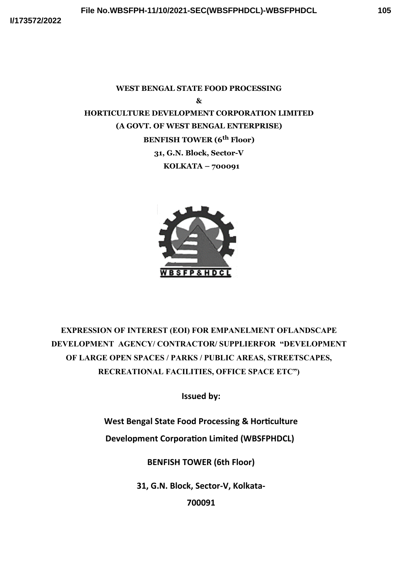# **WEST BENGAL STATE FOOD PROCESSING & HORTICULTURE DEVELOPMENT CORPORATION LIMITED (A GOVT. OF WEST BENGAL ENTERPRISE) BENFISH TOWER (6th Floor) 31, G.N. Block, Sector-V KOLKATA – 700091**



**EXPRESSION OF INTEREST (EOI) FOR EMPANELMENT OFLANDSCAPE DEVELOPMENT AGENCY/ CONTRACTOR/ SUPPLIERFOR "DEVELOPMENT OF LARGE OPEN SPACES / PARKS / PUBLIC AREAS, STREETSCAPES, RECREATIONAL FACILITIES, OFFICE SPACE ETC")**

**Issued by:**

**West Bengal State Food Processing & Horticulture** 

**Development Corporation Limited (WBSFPHDCL)** 

**BENFISH TOWER (6th Floor)**

**31, G.N. Block, Sector-V, Kolkata-**

**700091**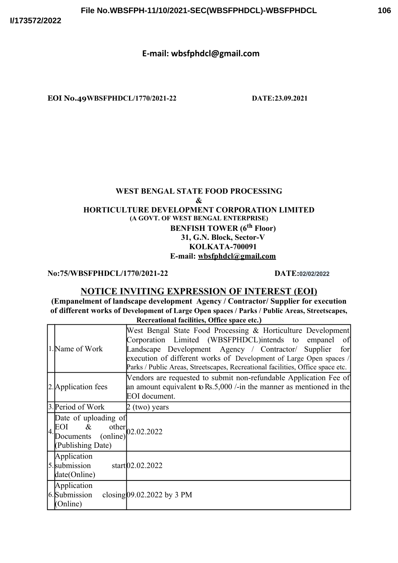# **E-mail: wbsfphdcl@gmail.com**

**EOI No.49WBSFPHDCL/1770/2021-22 DATE:23.09.2021**

# **WEST BENGAL STATE FOOD PROCESSING & HORTICULTURE DEVELOPMENT CORPORATION LIMITED (A GOVT. OF WEST BENGAL ENTERPRISE) BENFISH TOWER (6th Floor) 31, G.N. Block, Sector-V KOLKATA-700091 E-mail: wbsfphdcl@gmail.com**

**No:75/WBSFPHDCL/1770/2021-22 DATE:02/02/2022**

# **NOTICE INVITING EXPRESSION OF INTEREST (EOI)**

**(Empanelment of landscape development Agency / Contractor/ Supplier for execution of different works of Development of Large Open spaces / Parks / Public Areas, Streetscapes, Recreational facilities, Office space etc.)**

| 1. Name of Work                                                                                                    | West Bengal State Food Processing & Horticulture Development<br>Corporation Limited (WBSFPHDCL)intends to empanel<br>of<br>Landscape Development Agency / Contractor/ Supplier<br>for<br>execution of different works of Development of Large Open spaces /<br>Parks / Public Areas, Streetscapes, Recreational facilities, Office space etc. |  |
|--------------------------------------------------------------------------------------------------------------------|-----------------------------------------------------------------------------------------------------------------------------------------------------------------------------------------------------------------------------------------------------------------------------------------------------------------------------------------------|--|
| 2. Application fees                                                                                                | Vendors are requested to submit non-refundable Application Fee of<br>an amount equivalent to Rs.5,000 /-in the manner as mentioned in the<br>EOI document.                                                                                                                                                                                    |  |
| 3. Period of Work                                                                                                  | 2 (two) years                                                                                                                                                                                                                                                                                                                                 |  |
| Date of uploading of<br>EOI & other $02.02.2022$<br>$4 \frac{1001}{20}$ (online) <sup>1</sup><br>(Publishing Date) |                                                                                                                                                                                                                                                                                                                                               |  |
| Application<br>5. submission<br>date(Online)                                                                       | start[02.02.2022]                                                                                                                                                                                                                                                                                                                             |  |
| Application<br>6. Submission<br>(Online)                                                                           | closing $09.02.2022$ by 3 PM                                                                                                                                                                                                                                                                                                                  |  |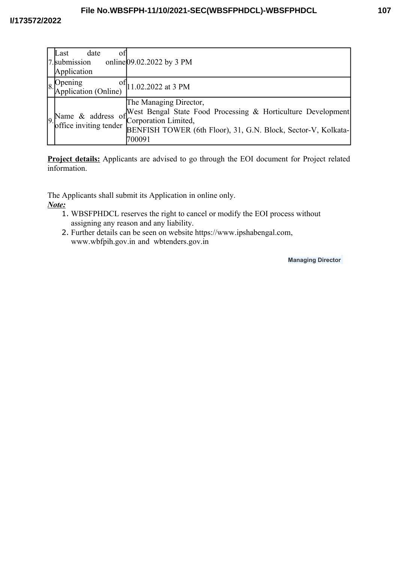| Last<br>date<br>ΟĪ<br>7. submission<br>Application | online $[09.02.2022$ by 3 PM                                                                                                                                                                                                  |
|----------------------------------------------------|-------------------------------------------------------------------------------------------------------------------------------------------------------------------------------------------------------------------------------|
| 8. Opening of 1.02.2022 at 3 PM                    |                                                                                                                                                                                                                               |
|                                                    | Some of West Bengal State Food Processing & Horticulture Development<br>of Corporation Limited,<br>office inviting tender <b>DENTIFY COLLUSTER</b><br>BENFISH TOWER (6th Floor), 31, G.N. Block, Sector-V, Kolkata-<br>700091 |

**Project details:** Applicants are advised to go through the EOI document for Project related information.

The Applicants shall submit its Application in online only.

*Note:*

- 1. WBSFPHDCL reserves the right to cancel or modify the EOI process without assigning any reason and any liability.
- 2. Further details can be seen on website https://www.ipshabengal.com, www.wbfpih.gov.in and wbtenders.gov.in

**Managing Director**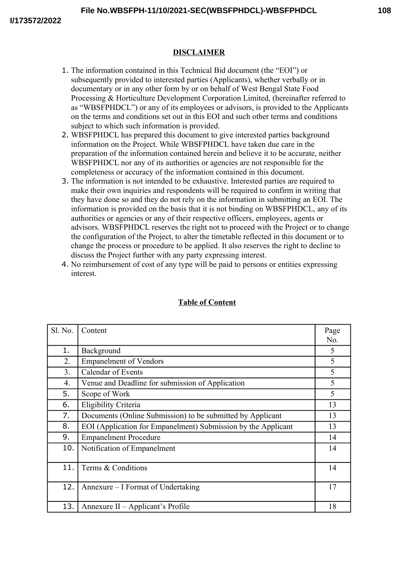# **DISCLAIMER**

- 1. The information contained in this Technical Bid document (the "EOI") or subsequently provided to interested parties (Applicants), whether verbally or in documentary or in any other form by or on behalf of West Bengal State Food Processing & Horticulture Development Corporation Limited, (hereinafter referred to as "WBSFPHDCL") or any of its employees or advisors, is provided to the Applicants on the terms and conditions set out in this EOI and such other terms and conditions subject to which such information is provided.
- 2. WBSFPHDCL has prepared this document to give interested parties background information on the Project. While WBSFPHDCL have taken due care in the preparation of the information contained herein and believe it to be accurate, neither WBSFPHDCL nor any of its authorities or agencies are not responsible for the completeness or accuracy of the information contained in this document.
- 3. The information is not intended to be exhaustive. Interested parties are required to make their own inquiries and respondents will be required to confirm in writing that they have done so and they do not rely on the information in submitting an EOI. The information is provided on the basis that it is not binding on WBSFPHDCL, any of its authorities or agencies or any of their respective officers, employees, agents or advisors. WBSFPHDCL reserves the right not to proceed with the Project or to change the configuration of the Project, to alter the timetable reflected in this document or to change the process or procedure to be applied. It also reserves the right to decline to discuss the Project further with any party expressing interest.
- 4. No reimbursement of cost of any type will be paid to persons or entities expressing interest.

| Sl. No.        | Content                                                       | Page |
|----------------|---------------------------------------------------------------|------|
|                |                                                               | No.  |
| 1.             | Background                                                    | 5    |
| 2.             | <b>Empanelment of Vendors</b>                                 | 5    |
| 3 <sub>1</sub> | <b>Calendar of Events</b>                                     | 5    |
| 4.             | Venue and Deadline for submission of Application              | 5    |
| 5.             | Scope of Work                                                 | 5    |
| 6.             | Eligibility Criteria                                          | 13   |
| 7.             | Documents (Online Submission) to be submitted by Applicant    | 13   |
| 8.             | EOI (Application for Empanelment) Submission by the Applicant | 13   |
| 9.             | <b>Empanelment Procedure</b>                                  | 14   |
| 10.            | Notification of Empanelment                                   | 14   |
|                |                                                               |      |
| 11.            | Terms & Conditions                                            | 14   |
|                |                                                               |      |
| 12.            | Annexure – I Format of Undertaking                            | 17   |
|                |                                                               |      |
| 13.            | Annexure II – Applicant's Profile                             | 18   |

# **Table of Content**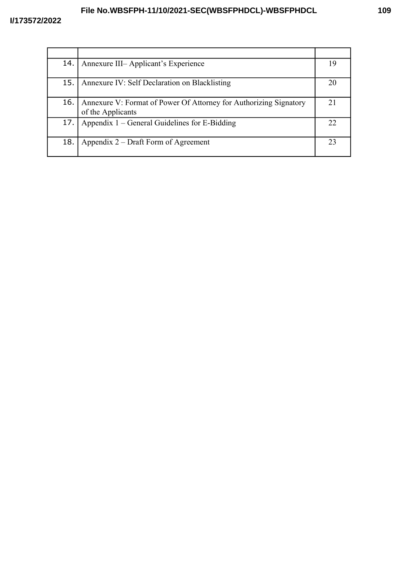# **File No.WBSFPH-11/10/2021-SEC(WBSFPHDCL)-WBSFPHDCL**

| 14. | Annexure III-Applicant's Experience                                                    | 19 |
|-----|----------------------------------------------------------------------------------------|----|
| 15. | Annexure IV: Self Declaration on Blacklisting                                          | 20 |
| 16. | Annexure V: Format of Power Of Attorney for Authorizing Signatory<br>of the Applicants | 21 |
| 17. | Appendix $1$ – General Guidelines for E-Bidding                                        | 22 |
| 18. | Appendix 2 – Draft Form of Agreement                                                   | 23 |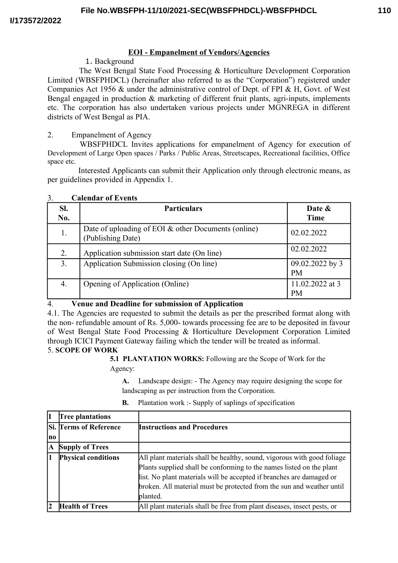# **EOI - Empanelment of Vendors/Agencies**

## 1. Background

The West Bengal State Food Processing & Horticulture Development Corporation Limited (WBSFPHDCL) (hereinafter also referred to as the "Corporation") registered under Companies Act 1956 & under the administrative control of Dept. of FPI & H, Govt. of West Bengal engaged in production & marketing of different fruit plants, agri-inputs, implements etc. The corporation has also undertaken various projects under MGNREGA in different districts of West Bengal as PIA.

### 2. Empanelment of Agency

WBSFPHDCL Invites applications for empanelment of Agency for execution of Development of Large Open spaces / Parks / Public Areas, Streetscapes, Recreational facilities, Office space etc.

Interested Applicants can submit their Application only through electronic means, as per guidelines provided in Appendix 1.

| SI.<br>No. | <b>Particulars</b>                                                         | Date &<br>Time               |
|------------|----------------------------------------------------------------------------|------------------------------|
| 1.         | Date of uploading of EOI $&$ other Documents (online)<br>(Publishing Date) | 02.02.2022                   |
| 2.         | Application submission start date (On line)                                | 02.02.2022                   |
| 3.         | Application Submission closing (On line)                                   | 09.02.2022 by 3<br><b>PM</b> |
| 4.         | Opening of Application (Online)                                            | 11.02.2022 at 3<br><b>PM</b> |

#### 3. **Calendar of Events**

# 4. **Venue and Deadline for submission of Application**

4.1. The Agencies are requested to submit the details as per the prescribed format along with the non- refundable amount of Rs. 5,000- towards processing fee are to be deposited in favour of West Bengal State Food Processing & Horticulture Development Corporation Limited through ICICI Payment Gateway failing which the tender will be treated as informal.

# 5. **SCOPE OF WORK**

**5.1 PLANTATION WORKS:** Following are the Scope of Work for the Agency:

**A.** Landscape design: - The Agency may require designing the scope for landscaping as per instruction from the Corporation.

| IL             | <b>Tree plantations</b>       |                                                                         |
|----------------|-------------------------------|-------------------------------------------------------------------------|
|                | <b>Si. Terms of Reference</b> | <b>Instructions and Procedures</b>                                      |
| lno            |                               |                                                                         |
| A              | <b>Supply of Trees</b>        |                                                                         |
| $\blacksquare$ | <b>Physical conditions</b>    | All plant materials shall be healthy, sound, vigorous with good foliage |
|                |                               | Plants supplied shall be conforming to the names listed on the plant    |
|                |                               | list. No plant materials will be accepted if branches are damaged or    |
|                |                               | broken. All material must be protected from the sun and weather until   |
|                |                               | planted.                                                                |
| 12             | <b>Health of Trees</b>        | All plant materials shall be free from plant diseases, insect pests, or |

**B.** Plantation work :- Supply of saplings of specification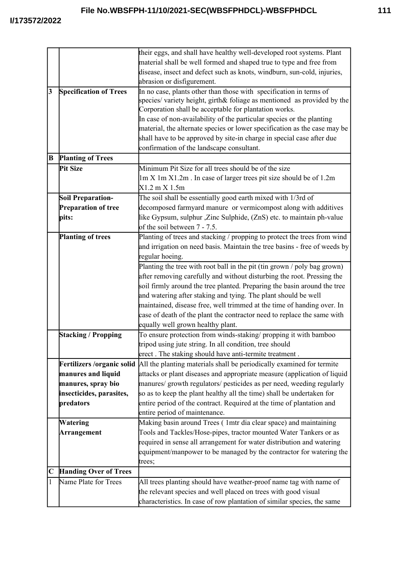|                 |                               | their eggs, and shall have healthy well-developed root systems. Plant     |
|-----------------|-------------------------------|---------------------------------------------------------------------------|
|                 |                               | material shall be well formed and shaped true to type and free from       |
|                 |                               | disease, insect and defect such as knots, windburn, sun-cold, injuries,   |
|                 |                               | abrasion or disfigurement.                                                |
| $\vert 3 \vert$ | <b>Specification of Trees</b> | In no case, plants other than those with specification in terms of        |
|                 |                               | species/ variety height, girth& foliage as mentioned as provided by the   |
|                 |                               | Corporation shall be acceptable for plantation works.                     |
|                 |                               | In case of non-availability of the particular species or the planting     |
|                 |                               | material, the alternate species or lower specification as the case may be |
|                 |                               | shall have to be approved by site-in charge in special case after due     |
|                 |                               | confirmation of the landscape consultant.                                 |
| B               | <b>Planting of Trees</b>      |                                                                           |
|                 | Pit Size                      | Minimum Pit Size for all trees should be of the size                      |
|                 |                               | 1m X 1m X1.2m. In case of larger trees pit size should be of 1.2m         |
|                 |                               | $X1.2 \text{ m} X 1.5 \text{m}$                                           |
|                 | <b>Soil Preparation-</b>      | The soil shall be essentially good earth mixed with 1/3rd of              |
|                 | <b>Preparation of tree</b>    | decomposed farmyard manure or vermicompost along with additives           |
|                 | pits:                         | like Gypsum, sulphur , Zinc Sulphide, (ZnS) etc. to maintain ph-value     |
|                 |                               | of the soil between 7 - 7.5.                                              |
|                 | <b>Planting of trees</b>      | Planting of trees and stacking / propping to protect the trees from wind  |
|                 |                               | and irrigation on need basis. Maintain the tree basins - free of weeds by |
|                 |                               | regular hoeing.                                                           |
|                 |                               | Planting the tree with root ball in the pit (tin grown / poly bag grown)  |
|                 |                               | after removing carefully and without disturbing the root. Pressing the    |
|                 |                               | soil firmly around the tree planted. Preparing the basin around the tree  |
|                 |                               | and watering after staking and tying. The plant should be well            |
|                 |                               | maintained, disease free, well trimmed at the time of handing over. In    |
|                 |                               | case of death of the plant the contractor need to replace the same with   |
|                 |                               | equally well grown healthy plant.                                         |
|                 | <b>Stacking / Propping</b>    | To ensure protection from winds-staking/ propping it with bamboo          |
|                 |                               | tripod using jute string. In all condition, tree should                   |
|                 |                               | erect. The staking should have anti-termite treatment.                    |
|                 | Fertilizers / organic solid   | All the planting materials shall be periodically examined for termite     |
|                 | manures and liquid            | attacks or plant diseases and appropriate measure (application of liquid  |
|                 | manures, spray bio            | manures/ growth regulators/ pesticides as per need, weeding regularly     |
|                 | insecticides, parasites,      | so as to keep the plant healthy all the time) shall be undertaken for     |
|                 | predators                     | entire period of the contract. Required at the time of plantation and     |
|                 |                               | entire period of maintenance.                                             |
|                 | Watering                      | Making basin around Trees (1mtr dia clear space) and maintaining          |
|                 | Arrangement                   | Tools and Tackles/Hose-pipes, tractor mounted Water Tankers or as         |
|                 |                               | required in sense all arrangement for water distribution and watering     |
|                 |                               | equipment/manpower to be managed by the contractor for watering the       |
|                 |                               | trees;                                                                    |
| $\mathbf C$     | <b>Handing Over of Trees</b>  |                                                                           |
|                 | Name Plate for Trees          | All trees planting should have weather-proof name tag with name of        |
|                 |                               |                                                                           |
|                 |                               | the relevant species and well placed on trees with good visual            |
|                 |                               | characteristics. In case of row plantation of similar species, the same   |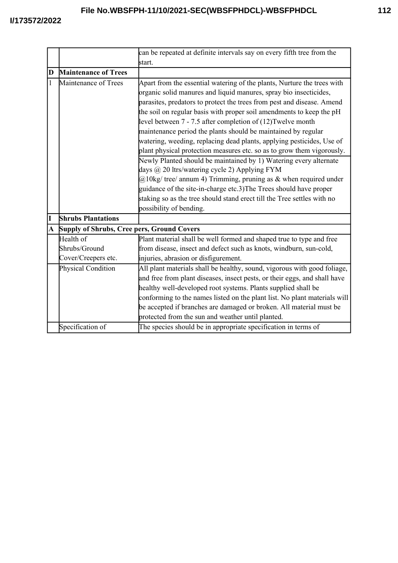|             |                                            | can be repeated at definite intervals say on every fifth tree from the    |
|-------------|--------------------------------------------|---------------------------------------------------------------------------|
|             |                                            | start.                                                                    |
| D           | <b>Maintenance of Trees</b>                |                                                                           |
| 1           | Maintenance of Trees                       | Apart from the essential watering of the plants, Nurture the trees with   |
|             |                                            | organic solid manures and liquid manures, spray bio insecticides,         |
|             |                                            | parasites, predators to protect the trees from pest and disease. Amend    |
|             |                                            | the soil on regular basis with proper soil amendments to keep the pH      |
|             |                                            | level between 7 - 7.5 after completion of (12)Twelve month                |
|             |                                            | maintenance period the plants should be maintained by regular             |
|             |                                            | watering, weeding, replacing dead plants, applying pesticides, Use of     |
|             |                                            | plant physical protection measures etc. so as to grow them vigorously.    |
|             |                                            | Newly Planted should be maintained by 1) Watering every alternate         |
|             |                                            | days @ 20 ltrs/watering cycle 2) Applying FYM                             |
|             |                                            | $@10$ kg/ tree/ annum 4) Trimming, pruning as & when required under       |
|             |                                            | guidance of the site-in-charge etc.3) The Trees should have proper        |
|             |                                            | staking so as the tree should stand erect till the Tree settles with no   |
|             |                                            | possibility of bending.                                                   |
| $\mathbf I$ | <b>Shrubs Plantations</b>                  |                                                                           |
| A           | Supply of Shrubs, Cree pers, Ground Covers |                                                                           |
|             | Health of                                  | Plant material shall be well formed and shaped true to type and free      |
|             | Shrubs/Ground                              | from disease, insect and defect such as knots, windburn, sun-cold,        |
|             | Cover/Creepers etc.                        | injuries, abrasion or disfigurement.                                      |
|             | Physical Condition                         | All plant materials shall be healthy, sound, vigorous with good foliage,  |
|             |                                            | and free from plant diseases, insect pests, or their eggs, and shall have |
|             |                                            | healthy well-developed root systems. Plants supplied shall be             |
|             |                                            | conforming to the names listed on the plant list. No plant materials will |
|             |                                            | be accepted if branches are damaged or broken. All material must be       |
|             |                                            | protected from the sun and weather until planted.                         |
|             | Specification of                           | The species should be in appropriate specification in terms of            |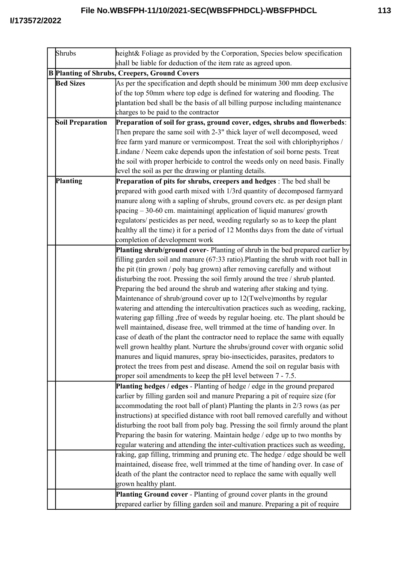| Shrubs                                               | height& Foliage as provided by the Corporation, Species below specification<br>shall be liable for deduction of the item rate as agreed upon. |  |
|------------------------------------------------------|-----------------------------------------------------------------------------------------------------------------------------------------------|--|
| <b>B Planting of Shrubs, Creepers, Ground Covers</b> |                                                                                                                                               |  |
| <b>Bed Sizes</b>                                     | As per the specification and depth should be minimum 300 mm deep exclusive                                                                    |  |
|                                                      | of the top 50mm where top edge is defined for watering and flooding. The                                                                      |  |
|                                                      | plantation bed shall be the basis of all billing purpose including maintenance                                                                |  |
|                                                      | charges to be paid to the contractor                                                                                                          |  |
| <b>Soil Preparation</b>                              | Preparation of soil for grass, ground cover, edges, shrubs and flowerbeds:                                                                    |  |
|                                                      | Then prepare the same soil with 2-3" thick layer of well decomposed, weed                                                                     |  |
|                                                      |                                                                                                                                               |  |
|                                                      | free farm yard manure or vermicompost. Treat the soil with chloriphyriphos /                                                                  |  |
|                                                      | Lindane / Neem cake depends upon the infestation of soil borne pests. Treat                                                                   |  |
|                                                      | the soil with proper herbicide to control the weeds only on need basis. Finally                                                               |  |
|                                                      | level the soil as per the drawing or planting details.                                                                                        |  |
| Planting                                             | Preparation of pits for shrubs, creepers and hedges : The bed shall be                                                                        |  |
|                                                      | prepared with good earth mixed with 1/3rd quantity of decomposed farmyard                                                                     |  |
|                                                      | manure along with a sapling of shrubs, ground covers etc. as per design plant                                                                 |  |
|                                                      | spacing – 30-60 cm. maintaining (application of liquid manures/growth                                                                         |  |
|                                                      | regulators/ pesticides as per need, weeding regularly so as to keep the plant                                                                 |  |
|                                                      | healthy all the time) it for a period of 12 Months days from the date of virtual                                                              |  |
|                                                      | completion of development work                                                                                                                |  |
|                                                      | Planting shrub/ground cover-Planting of shrub in the bed prepared earlier by                                                                  |  |
|                                                      | filling garden soil and manure (67:33 ratio). Planting the shrub with root ball in                                                            |  |
|                                                      | the pit (tin grown / poly bag grown) after removing carefully and without                                                                     |  |
|                                                      | disturbing the root. Pressing the soil firmly around the tree / shrub planted.                                                                |  |
|                                                      | Preparing the bed around the shrub and watering after staking and tying.                                                                      |  |
|                                                      | Maintenance of shrub/ground cover up to 12(Twelve)months by regular                                                                           |  |
|                                                      | watering and attending the intercultivation practices such as weeding, racking,                                                               |  |
|                                                      | watering gap filling, free of weeds by regular hoeing. etc. The plant should be                                                               |  |
|                                                      | well maintained, disease free, well trimmed at the time of handing over. In                                                                   |  |
|                                                      | case of death of the plant the contractor need to replace the same with equally                                                               |  |
|                                                      | well grown healthy plant. Nurture the shrubs/ground cover with organic solid                                                                  |  |
|                                                      | manures and liquid manures, spray bio-insecticides, parasites, predators to                                                                   |  |
|                                                      | protect the trees from pest and disease. Amend the soil on regular basis with                                                                 |  |
|                                                      | proper soil amendments to keep the pH level between 7 - 7.5.                                                                                  |  |
|                                                      | Planting hedges / edges - Planting of hedge / edge in the ground prepared                                                                     |  |
|                                                      | earlier by filling garden soil and manure Preparing a pit of require size (for                                                                |  |
|                                                      | accommodating the root ball of plant) Planting the plants in 2/3 rows (as per                                                                 |  |
|                                                      | instructions) at specified distance with root ball removed carefully and without                                                              |  |
|                                                      | disturbing the root ball from poly bag. Pressing the soil firmly around the plant                                                             |  |
|                                                      | Preparing the basin for watering. Maintain hedge / edge up to two months by                                                                   |  |
|                                                      | regular watering and attending the inter-cultivation practices such as weeding,                                                               |  |
|                                                      | raking, gap filling, trimming and pruning etc. The hedge / edge should be well                                                                |  |
|                                                      | maintained, disease free, well trimmed at the time of handing over. In case of                                                                |  |
|                                                      | death of the plant the contractor need to replace the same with equally well                                                                  |  |
|                                                      | grown healthy plant.                                                                                                                          |  |
|                                                      | Planting Ground cover - Planting of ground cover plants in the ground                                                                         |  |
|                                                      | prepared earlier by filling garden soil and manure. Preparing a pit of require                                                                |  |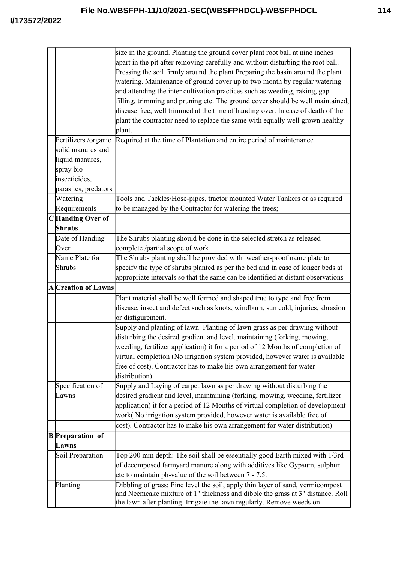|                            | size in the ground. Planting the ground cover plant root ball at nine inches<br>apart in the pit after removing carefully and without disturbing the root ball.<br>Pressing the soil firmly around the plant Preparing the basin around the plant<br>watering. Maintenance of ground cover up to two month by regular watering<br>and attending the inter cultivation practices such as weeding, raking, gap<br>filling, trimming and pruning etc. The ground cover should be well maintained,<br>disease free, well trimmed at the time of handing over. In case of death of the<br>plant the contractor need to replace the same with equally well grown healthy<br>plant. |
|----------------------------|------------------------------------------------------------------------------------------------------------------------------------------------------------------------------------------------------------------------------------------------------------------------------------------------------------------------------------------------------------------------------------------------------------------------------------------------------------------------------------------------------------------------------------------------------------------------------------------------------------------------------------------------------------------------------|
| Fertilizers /organic       | Required at the time of Plantation and entire period of maintenance                                                                                                                                                                                                                                                                                                                                                                                                                                                                                                                                                                                                          |
| solid manures and          |                                                                                                                                                                                                                                                                                                                                                                                                                                                                                                                                                                                                                                                                              |
| liquid manures,            |                                                                                                                                                                                                                                                                                                                                                                                                                                                                                                                                                                                                                                                                              |
| spray bio                  |                                                                                                                                                                                                                                                                                                                                                                                                                                                                                                                                                                                                                                                                              |
| insecticides,              |                                                                                                                                                                                                                                                                                                                                                                                                                                                                                                                                                                                                                                                                              |
| parasites, predators       |                                                                                                                                                                                                                                                                                                                                                                                                                                                                                                                                                                                                                                                                              |
| Watering                   | Tools and Tackles/Hose-pipes, tractor mounted Water Tankers or as required                                                                                                                                                                                                                                                                                                                                                                                                                                                                                                                                                                                                   |
| Requirements               | to be managed by the Contractor for watering the trees;                                                                                                                                                                                                                                                                                                                                                                                                                                                                                                                                                                                                                      |
| C Handing Over of          |                                                                                                                                                                                                                                                                                                                                                                                                                                                                                                                                                                                                                                                                              |
| Shrubs                     |                                                                                                                                                                                                                                                                                                                                                                                                                                                                                                                                                                                                                                                                              |
| Date of Handing            | The Shrubs planting should be done in the selected stretch as released                                                                                                                                                                                                                                                                                                                                                                                                                                                                                                                                                                                                       |
| Over                       | complete /partial scope of work                                                                                                                                                                                                                                                                                                                                                                                                                                                                                                                                                                                                                                              |
| Name Plate for             | The Shrubs planting shall be provided with weather-proof name plate to                                                                                                                                                                                                                                                                                                                                                                                                                                                                                                                                                                                                       |
| Shrubs                     | specify the type of shrubs planted as per the bed and in case of longer beds at                                                                                                                                                                                                                                                                                                                                                                                                                                                                                                                                                                                              |
|                            | appropriate intervals so that the same can be identified at distant observations                                                                                                                                                                                                                                                                                                                                                                                                                                                                                                                                                                                             |
| <b>A</b> Creation of Lawns |                                                                                                                                                                                                                                                                                                                                                                                                                                                                                                                                                                                                                                                                              |
|                            | Plant material shall be well formed and shaped true to type and free from                                                                                                                                                                                                                                                                                                                                                                                                                                                                                                                                                                                                    |
|                            | disease, insect and defect such as knots, windburn, sun cold, injuries, abrasion                                                                                                                                                                                                                                                                                                                                                                                                                                                                                                                                                                                             |
|                            | or disfigurement.                                                                                                                                                                                                                                                                                                                                                                                                                                                                                                                                                                                                                                                            |
|                            | Supply and planting of lawn: Planting of lawn grass as per drawing without<br>disturbing the desired gradient and level, maintaining (forking, mowing,<br>weeding, fertilizer application) it for a period of 12 Months of completion of<br>virtual completion (No irrigation system provided, however water is available<br>free of cost). Contractor has to make his own arrangement for water<br>distribution)                                                                                                                                                                                                                                                            |
| Specification of           | Supply and Laying of carpet lawn as per drawing without disturbing the                                                                                                                                                                                                                                                                                                                                                                                                                                                                                                                                                                                                       |
| Lawns                      | desired gradient and level, maintaining (forking, mowing, weeding, fertilizer                                                                                                                                                                                                                                                                                                                                                                                                                                                                                                                                                                                                |
|                            | application) it for a period of 12 Months of virtual completion of development                                                                                                                                                                                                                                                                                                                                                                                                                                                                                                                                                                                               |
|                            | work(No irrigation system provided, however water is available free of                                                                                                                                                                                                                                                                                                                                                                                                                                                                                                                                                                                                       |
|                            | cost). Contractor has to make his own arrangement for water distribution)                                                                                                                                                                                                                                                                                                                                                                                                                                                                                                                                                                                                    |
| <b>B</b> Preparation of    |                                                                                                                                                                                                                                                                                                                                                                                                                                                                                                                                                                                                                                                                              |
| Lawns                      |                                                                                                                                                                                                                                                                                                                                                                                                                                                                                                                                                                                                                                                                              |
| Soil Preparation           | Top 200 mm depth: The soil shall be essentially good Earth mixed with 1/3rd                                                                                                                                                                                                                                                                                                                                                                                                                                                                                                                                                                                                  |
|                            | of decomposed farmyard manure along with additives like Gypsum, sulphur                                                                                                                                                                                                                                                                                                                                                                                                                                                                                                                                                                                                      |
|                            | etc to maintain ph-value of the soil between 7 - 7.5.                                                                                                                                                                                                                                                                                                                                                                                                                                                                                                                                                                                                                        |
| Planting                   | Dibbling of grass: Fine level the soil, apply thin layer of sand, vermicompost                                                                                                                                                                                                                                                                                                                                                                                                                                                                                                                                                                                               |
|                            | and Neemcake mixture of 1" thickness and dibble the grass at 3" distance. Roll                                                                                                                                                                                                                                                                                                                                                                                                                                                                                                                                                                                               |
|                            | the lawn after planting. Irrigate the lawn regularly. Remove weeds on                                                                                                                                                                                                                                                                                                                                                                                                                                                                                                                                                                                                        |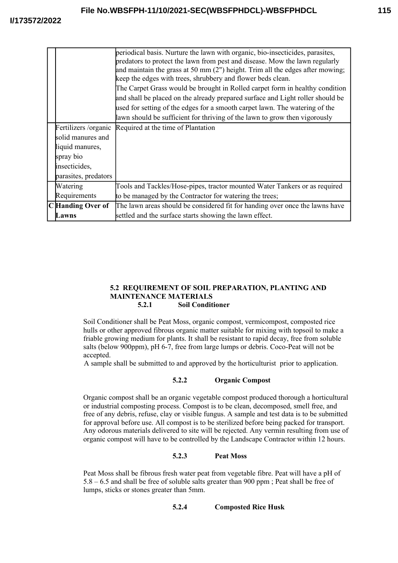|                       | periodical basis. Nurture the lawn with organic, bio-insecticides, parasites,   |
|-----------------------|---------------------------------------------------------------------------------|
|                       | predators to protect the lawn from pest and disease. Mow the lawn regularly     |
|                       | and maintain the grass at 50 mm $(2")$ height. Trim all the edges after mowing; |
|                       | keep the edges with trees, shrubbery and flower beds clean.                     |
|                       | The Carpet Grass would be brought in Rolled carpet form in healthy condition    |
|                       | and shall be placed on the already prepared surface and Light roller should be  |
|                       | used for setting of the edges for a smooth carpet lawn. The watering of the     |
|                       | lawn should be sufficient for thriving of the lawn to grow then vigorously      |
| Fertilizers / organic | Required at the time of Plantation                                              |
| solid manures and     |                                                                                 |
| liquid manures,       |                                                                                 |
| spray bio             |                                                                                 |
| insecticides,         |                                                                                 |
| parasites, predators  |                                                                                 |
| Watering              | Tools and Tackles/Hose-pipes, tractor mounted Water Tankers or as required      |
| Requirements          | to be managed by the Contractor for watering the trees;                         |
| C Handing Over of     | The lawn areas should be considered fit for handing over once the lawns have    |
| Lawns                 | settled and the surface starts showing the lawn effect.                         |

#### **5.2 REQUIREMENT OF SOIL PREPARATION, PLANTING AND MAINTENANCE MATERIALS 5.2.1 Soil Conditioner**

Soil Conditioner shall be Peat Moss, organic compost, vermicompost, composted rice hulls or other approved fibrous organic matter suitable for mixing with topsoil to make a friable growing medium for plants. It shall be resistant to rapid decay, free from soluble salts (below 900ppm), pH 6-7, free from large lumps or debris. Coco-Peat will not be accepted.

A sample shall be submitted to and approved by the horticulturist prior to application.

## **5.2.2 Organic Compost**

Organic compost shall be an organic vegetable compost produced thorough a horticultural or industrial composting process. Compost is to be clean, decomposed, smell free, and free of any debris, refuse, clay or visible fungus. A sample and test data is to be submitted for approval before use. All compost is to be sterilized before being packed for transport. Any odorous materials delivered to site will be rejected. Any vermin resulting from use of organic compost will have to be controlled by the Landscape Contractor within 12 hours.

## **5.2.3 Peat Moss**

Peat Moss shall be fibrous fresh water peat from vegetable fibre. Peat will have a pH of 5.8 – 6.5 and shall be free of soluble salts greater than 900 ppm ; Peat shall be free of lumps, sticks or stones greater than 5mm.

**5.2.4 Composted Rice Husk**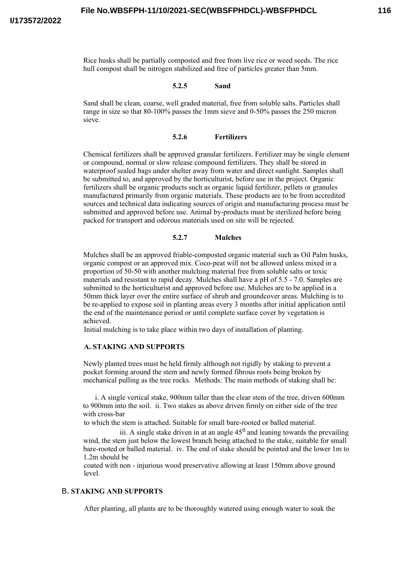Rice husks shall be partially composted and free from live rice or weed seeds. The rice hull compost shall be nitrogen stabilized and free of particles greater than 5mm.

#### **5.2.5 Sand**

Sand shall be clean, coarse, well graded material, free from soluble salts. Particles shall range in size so that 80-100% passes the 1mm sieve and 0-50% passes the 250 micron sieve.

#### **5.2.6 Fertilizers**

Chemical fertilizers shall be approved granular fertilizers. Fertilizer may be single element or compound, normal or slow release compound fertilizers. They shall be stored in waterproof sealed bags under shelter away from water and direct sunlight. Samples shall be submitted to, and approved by the horticulturist, before use in the project. Organic fertilizers shall be organic products such as organic liquid fertilizer, pellets or granules manufactured primarily from organic materials. These products are to be from accredited sources and technical data indicating sources of origin and manufacturing process must be submitted and approved before use. Animal by-products must be sterilized before being packed for transport and odorous materials used on site will be rejected.

#### **5.2.7 Mulches**

Mulches shall be an approved friable-composted organic material such as Oil Palm husks, organic compost or an approved mix. Coco-peat will not be allowed unless mixed in a proportion of 50-50 with another mulching material free from soluble salts or toxic materials and resistant to rapid decay. Mulches shall have a pH of 5.5 - 7.0. Samples are submitted to the horticulturist and approved before use. Mulches are to be applied in a 50mm thick layer over the entire surface of shrub and groundcover areas. Mulching is to be re-applied to expose soil in planting areas every 3 months after initial application until the end of the maintenance period or until complete surface cover by vegetation is achieved.

Initial mulching is to take place within two days of installation of planting.

#### **A. STAKING AND SUPPORTS**

Newly planted trees must be held firmly although not rigidly by staking to prevent a pocket forming around the stem and newly formed fibrous roots being broken by mechanical pulling as the tree rocks. Methods: The main methods of staking shall be:

i. A single vertical stake, 900mm taller than the clear stem of the tree, driven 600mm to 900mm into the soil. ii. Two stakes as above driven firmly on either side of the tree with cross-bar

to which the stem is attached. Suitable for small bare-rooted or balled material.

iii. A single stake driven in at an angle  $45<sup>0</sup>$  and leaning towards the prevailing wind, the stem just below the lowest branch being attached to the stake, suitable for small bare-rooted or balled material. iv. The end of stake should be pointed and the lower 1m to 1.2m should be

coated with non - injurious wood preservative allowing at least 150mm above ground level.

#### B. **STAKING AND SUPPORTS**

After planting, all plants are to be thoroughly watered using enough water to soak the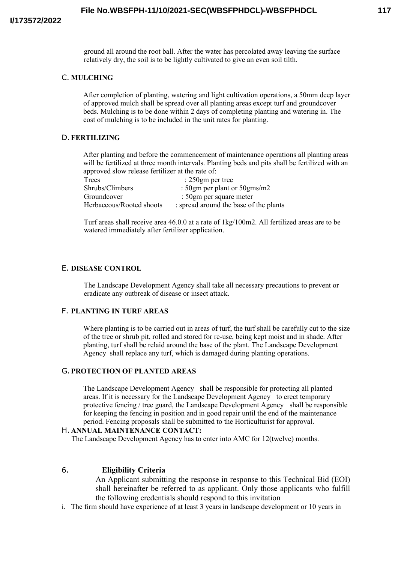ground all around the root ball. After the water has percolated away leaving the surface relatively dry, the soil is to be lightly cultivated to give an even soil tilth.

## C. **MULCHING**

After completion of planting, watering and light cultivation operations, a 50mm deep layer of approved mulch shall be spread over all planting areas except turf and groundcover beds. Mulching is to be done within 2 days of completing planting and watering in. The cost of mulching is to be included in the unit rates for planting.

### D.**FERTILIZING**

After planting and before the commencement of maintenance operations all planting areas will be fertilized at three month intervals. Planting beds and pits shall be fertilized with an approved slow release fertilizer at the rate of:

| Trees                    | : $250gm$ per tree                     |
|--------------------------|----------------------------------------|
| Shrubs/Climbers          | : 50gm per plant or 50gms/m2           |
| Groundcover              | : 50gm per square meter                |
| Herbaceous/Rooted shoots | : spread around the base of the plants |

Turf areas shall receive area 46.0.0 at a rate of 1kg/100m2. All fertilized areas are to be watered immediately after fertilizer application.

#### E. **DISEASE CONTROL**

The Landscape Development Agency shall take all necessary precautions to prevent or eradicate any outbreak of disease or insect attack.

#### F. **PLANTING IN TURF AREAS**

Where planting is to be carried out in areas of turf, the turf shall be carefully cut to the size of the tree or shrub pit, rolled and stored for re-use, being kept moist and in shade. After planting, turf shall be relaid around the base of the plant. The Landscape Development Agency shall replace any turf, which is damaged during planting operations.

## G.**PROTECTION OF PLANTED AREAS**

The Landscape Development Agency shall be responsible for protecting all planted areas. If it is necessary for the Landscape Development Agency to erect temporary protective fencing / tree guard, the Landscape Development Agency shall be responsible for keeping the fencing in position and in good repair until the end of the maintenance period. Fencing proposals shall be submitted to the Horticulturist for approval.

#### H. **ANNUAL MAINTENANCE CONTACT:**

The Landscape Development Agency has to enter into AMC for 12(twelve) months.

## 6. **Eligibility Criteria**

An Applicant submitting the response in response to this Technical Bid (EOI) shall hereinafter be referred to as applicant. Only those applicants who fulfill the following credentials should respond to this invitation

i. The firm should have experience of at least 3 years in landscape development or 10 years in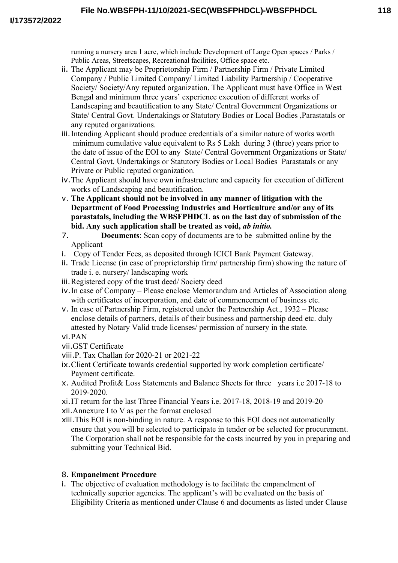running a nursery area 1 acre, which include Development of Large Open spaces / Parks / Public Areas, Streetscapes, Recreational facilities, Office space etc.

- ii. The Applicant may be Proprietorship Firm / Partnership Firm / Private Limited Company / Public Limited Company/ Limited Liability Partnership / Cooperative Society/ Society/Any reputed organization. The Applicant must have Office in West Bengal and minimum three years' experience execution of different works of Landscaping and beautification to any State/ Central Government Organizations or State/ Central Govt. Undertakings or Statutory Bodies or Local Bodies ,Parastatals or any reputed organizations.
- iii.Intending Applicant should produce credentials of a similar nature of works worth minimum cumulative value equivalent to Rs 5 Lakh during 3 (three) years prior to the date of issue of the EOI to any State/ Central Government Organizations or State/ Central Govt. Undertakings or Statutory Bodies or Local Bodies Parastatals or any Private or Public reputed organization.
- iv.The Applicant should have own infrastructure and capacity for execution of different works of Landscaping and beautification.
- v. **The Applicant should not be involved in any manner of litigation with the Department of Food Processing Industries and Horticulture and/or any of its parastatals, including the WBSFPHDCL as on the last day of submission of the bid. Any such application shall be treated as void,** *ab initio.*
- 7. **Documents**: Scan copy of documents are to be submitted online by the Applicant
- i. Copy of Tender Fees, as deposited through ICICI Bank Payment Gateway.
- ii. Trade License (in case of proprietorship firm/ partnership firm) showing the nature of trade i. e. nursery/ landscaping work
- iii.Registered copy of the trust deed/ Society deed
- iv.In case of Company Please enclose Memorandum and Articles of Association along with certificates of incorporation, and date of commencement of business etc.
- v. In case of Partnership Firm, registered under the Partnership Act., 1932 Please enclose details of partners, details of their business and partnership deed etc. duly attested by Notary Valid trade licenses/ permission of nursery in the state.
- vi.PAN
- vii.GST Certificate
- viii.P. Tax Challan for 2020-21 or 2021-22
- ix.Client Certificate towards credential supported by work completion certificate/ Payment certificate.
- x. Audited Profit& Loss Statements and Balance Sheets for three years i.e 2017-18 to 2019-2020.
- xi.IT return for the last Three Financial Years i.e. 2017-18, 2018-19 and 2019-20
- xii.Annexure I to V as per the format enclosed
- xiii.This EOI is non-binding in nature. A response to this EOI does not automatically ensure that you will be selected to participate in tender or be selected for procurement. The Corporation shall not be responsible for the costs incurred by you in preparing and submitting your Technical Bid.

## 8. **Empanelment Procedure**

i. The objective of evaluation methodology is to facilitate the empanelment of technically superior agencies. The applicant's will be evaluated on the basis of Eligibility Criteria as mentioned under Clause 6 and documents as listed under Clause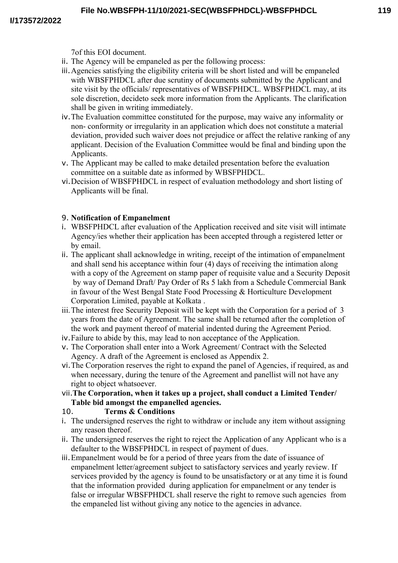7of this EOI document.

- ii. The Agency will be empaneled as per the following process:
- iii.Agencies satisfying the eligibility criteria will be short listed and will be empaneled with WBSFPHDCL after due scrutiny of documents submitted by the Applicant and site visit by the officials/ representatives of WBSFPHDCL. WBSFPHDCL may, at its sole discretion, decideto seek more information from the Applicants. The clarification shall be given in writing immediately.
- iv.The Evaluation committee constituted for the purpose, may waive any informality or non- conformity or irregularity in an application which does not constitute a material deviation, provided such waiver does not prejudice or affect the relative ranking of any applicant. Decision of the Evaluation Committee would be final and binding upon the Applicants.
- v. The Applicant may be called to make detailed presentation before the evaluation committee on a suitable date as informed by WBSFPHDCL.
- vi.Decision of WBSFPHDCL in respect of evaluation methodology and short listing of Applicants will be final.

# 9. **Notification of Empanelment**

- i. WBSFPHDCL after evaluation of the Application received and site visit will intimate Agency/ies whether their application has been accepted through a registered letter or by email.
- ii. The applicant shall acknowledge in writing, receipt of the intimation of empanelment and shall send his acceptance within four (4) days of receiving the intimation along with a copy of the Agreement on stamp paper of requisite value and a Security Deposit by way of Demand Draft/ Pay Order of Rs 5 lakh from a Schedule Commercial Bank in favour of the West Bengal State Food Processing & Horticulture Development Corporation Limited, payable at Kolkata .
- iii.The interest free Security Deposit will be kept with the Corporation for a period of 3 years from the date of Agreement. The same shall be returned after the completion of the work and payment thereof of material indented during the Agreement Period.
- iv.Failure to abide by this, may lead to non acceptance of the Application.
- v. The Corporation shall enter into a Work Agreement/ Contract with the Selected Agency. A draft of the Agreement is enclosed as Appendix 2.
- vi.The Corporation reserves the right to expand the panel of Agencies, if required, as and when necessary, during the tenure of the Agreement and panellist will not have any right to object whatsoever.
- vii.**The Corporation, when it takes up a project, shall conduct a Limited Tender/ Table bid amongst the empanelled agencies.**

# 10. **Terms & Conditions**

- i. The undersigned reserves the right to withdraw or include any item without assigning any reason thereof.
- ii. The undersigned reserves the right to reject the Application of any Applicant who is a defaulter to the WBSFPHDCL in respect of payment of dues.
- iii.Empanelment would be for a period of three years from the date of issuance of empanelment letter/agreement subject to satisfactory services and yearly review. If services provided by the agency is found to be unsatisfactory or at any time it is found that the information provided during application for empanelment or any tender is false or irregular WBSFPHDCL shall reserve the right to remove such agencies from the empaneled list without giving any notice to the agencies in advance.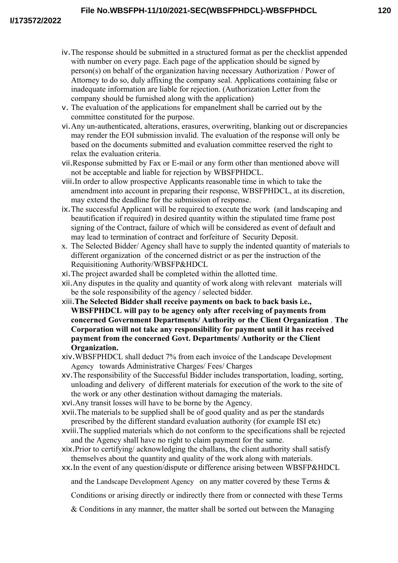- iv.The response should be submitted in a structured format as per the checklist appended with number on every page. Each page of the application should be signed by person(s) on behalf of the organization having necessary Authorization / Power of Attorney to do so, duly affixing the company seal. Applications containing false or inadequate information are liable for rejection. (Authorization Letter from the company should be furnished along with the application)
- v. The evaluation of the applications for empanelment shall be carried out by the committee constituted for the purpose.
- vi.Any un-authenticated, alterations, erasures, overwriting, blanking out or discrepancies may render the EOI submission invalid. The evaluation of the response will only be based on the documents submitted and evaluation committee reserved the right to relax the evaluation criteria.
- vii.Response submitted by Fax or E-mail or any form other than mentioned above will not be acceptable and liable for rejection by WBSFPHDCL.
- viii.In order to allow prospective Applicants reasonable time in which to take the amendment into account in preparing their response, WBSFPHDCL, at its discretion, may extend the deadline for the submission of response.
- ix.The successful Applicant will be required to execute the work (and landscaping and beautification if required) in desired quantity within the stipulated time frame post signing of the Contract, failure of which will be considered as event of default and may lead to termination of contract and forfeiture of Security Deposit.
- x. The Selected Bidder/ Agency shall have to supply the indented quantity of materials to different organization of the concerned district or as per the instruction of the Requisitioning Authority/WBSFP&HDCL
- xi.The project awarded shall be completed within the allotted time.
- xii.Any disputes in the quality and quantity of work along with relevant materials will be the sole responsibility of the agency / selected bidder.
- xiii.**The Selected Bidder shall receive payments on back to back basis i.e., WBSFPHDCL will pay to be agency only after receiving of payments from concerned Government Departments/ Authority or the Client Organization** . **The Corporation will not take any responsibility for payment until it has received payment from the concerned Govt. Departments/ Authority or the Client Organization.**
- xiv.WBSFPHDCL shall deduct 7% from each invoice of the Landscape Development Agency towards Administrative Charges/ Fees/ Charges
- xv.The responsibility of the Successful Bidder includes transportation, loading, sorting, unloading and delivery of different materials for execution of the work to the site of the work or any other destination without damaging the materials.
- xvi.Any transit losses will have to be borne by the Agency.
- xvii.The materials to be supplied shall be of good quality and as per the standards prescribed by the different standard evaluation authority (for example ISI etc)
- xviii.The supplied materials which do not conform to the specifications shall be rejected and the Agency shall have no right to claim payment for the same.
- xix.Prior to certifying/ acknowledging the challans, the client authority shall satisfy themselves about the quantity and quality of the work along with materials.
- xx.In the event of any question/dispute or difference arising between WBSFP&HDCL
	- and the Landscape Development Agency on any matter covered by these Terms &
	- Conditions or arising directly or indirectly there from or connected with these Terms
	- & Conditions in any manner, the matter shall be sorted out between the Managing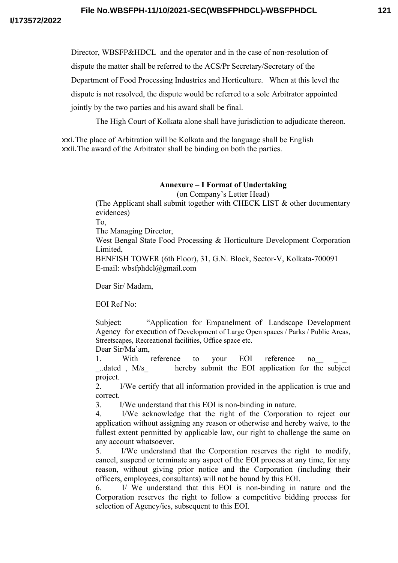Director, WBSFP&HDCL and the operator and in the case of non-resolution of

dispute the matter shall be referred to the ACS/Pr Secretary/Secretary of the

Department of Food Processing Industries and Horticulture. When at this level the

dispute is not resolved, the dispute would be referred to a sole Arbitrator appointed

jointly by the two parties and his award shall be final.

The High Court of Kolkata alone shall have jurisdiction to adjudicate thereon.

xxi.The place of Arbitration will be Kolkata and the language shall be English xxii.The award of the Arbitrator shall be binding on both the parties.

# **Annexure – I Format of Undertaking**

(on Company's Letter Head)

(The Applicant shall submit together with CHECK LIST & other documentary evidences)

To,

The Managing Director,

West Bengal State Food Processing & Horticulture Development Corporation Limited,

BENFISH TOWER (6th Floor), 31, G.N. Block, Sector-V, Kolkata-700091 E-mail: wbsfphdcl@gmail.com

Dear Sir/ Madam,

EOI Ref No:

Subject: "Application for Empanelment of Landscape Development Agency for execution of Development of Large Open spaces / Parks / Public Areas, Streetscapes, Recreational facilities, Office space etc. Dear Sir/Ma'am,

1. With reference to your EOI reference no

\_..dated , M/s\_ hereby submit the EOI application for the subject project.

2. I/We certify that all information provided in the application is true and correct.

3. I/We understand that this EOI is non-binding in nature.

4. I/We acknowledge that the right of the Corporation to reject our application without assigning any reason or otherwise and hereby waive, to the fullest extent permitted by applicable law, our right to challenge the same on any account whatsoever.

5. I/We understand that the Corporation reserves the right to modify, cancel, suspend or terminate any aspect of the EOI process at any time, for any reason, without giving prior notice and the Corporation (including their officers, employees, consultants) will not be bound by this EOI.

6. I/ We understand that this EOI is non-binding in nature and the Corporation reserves the right to follow a competitive bidding process for selection of Agency/ies, subsequent to this EOI.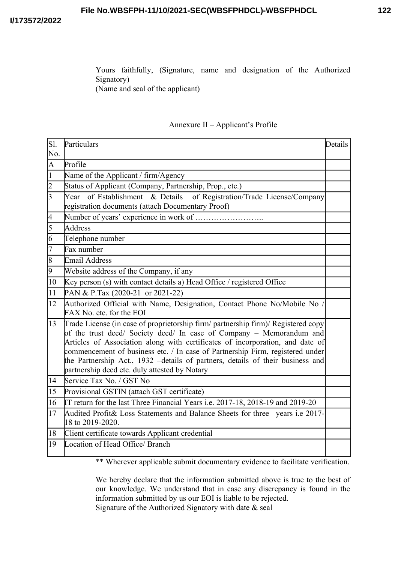Yours faithfully, (Signature, name and designation of the Authorized Signatory) (Name and seal of the applicant)

# Annexure II – Applicant's Profile

| Sl.             | Particulars                                                                                                                                                                                                                                                                                                                                                                                                                                                    | Details |  |  |  |  |
|-----------------|----------------------------------------------------------------------------------------------------------------------------------------------------------------------------------------------------------------------------------------------------------------------------------------------------------------------------------------------------------------------------------------------------------------------------------------------------------------|---------|--|--|--|--|
| No.             |                                                                                                                                                                                                                                                                                                                                                                                                                                                                |         |  |  |  |  |
| $\overline{A}$  | Profile                                                                                                                                                                                                                                                                                                                                                                                                                                                        |         |  |  |  |  |
| $\overline{1}$  | Name of the Applicant / firm/Agency                                                                                                                                                                                                                                                                                                                                                                                                                            |         |  |  |  |  |
| $\overline{2}$  | Status of Applicant (Company, Partnership, Prop., etc.)                                                                                                                                                                                                                                                                                                                                                                                                        |         |  |  |  |  |
| $\overline{3}$  | Year of Establishment & Details<br>of Registration/Trade License/Company<br>registration documents (attach Documentary Proof)                                                                                                                                                                                                                                                                                                                                  |         |  |  |  |  |
| $\overline{4}$  |                                                                                                                                                                                                                                                                                                                                                                                                                                                                |         |  |  |  |  |
| $\overline{5}$  | Address                                                                                                                                                                                                                                                                                                                                                                                                                                                        |         |  |  |  |  |
| $\overline{6}$  | Telephone number                                                                                                                                                                                                                                                                                                                                                                                                                                               |         |  |  |  |  |
| $\overline{7}$  | Fax number                                                                                                                                                                                                                                                                                                                                                                                                                                                     |         |  |  |  |  |
| $\overline{8}$  | Email Address                                                                                                                                                                                                                                                                                                                                                                                                                                                  |         |  |  |  |  |
| $\overline{9}$  | Website address of the Company, if any                                                                                                                                                                                                                                                                                                                                                                                                                         |         |  |  |  |  |
| 10              | Key person (s) with contact details a) Head Office / registered Office                                                                                                                                                                                                                                                                                                                                                                                         |         |  |  |  |  |
| $\overline{11}$ | PAN & P.Tax (2020-21 or 2021-22)                                                                                                                                                                                                                                                                                                                                                                                                                               |         |  |  |  |  |
| 12              | Authorized Official with Name, Designation, Contact Phone No/Mobile No<br>FAX No. etc. for the EOI                                                                                                                                                                                                                                                                                                                                                             |         |  |  |  |  |
| 13              | Trade License (in case of proprietorship firm/ partnership firm)/ Registered copy<br>of the trust deed/ Society deed/ In case of Company – Memorandum and<br>Articles of Association along with certificates of incorporation, and date of<br>commencement of business etc. / In case of Partnership Firm, registered under<br>the Partnership Act., 1932 -details of partners, details of their business and<br>partnership deed etc. duly attested by Notary |         |  |  |  |  |
| 14              | Service Tax No. / GST No                                                                                                                                                                                                                                                                                                                                                                                                                                       |         |  |  |  |  |
| 15              | Provisional GSTIN (attach GST certificate)                                                                                                                                                                                                                                                                                                                                                                                                                     |         |  |  |  |  |
| 16              | IT return for the last Three Financial Years i.e. 2017-18, 2018-19 and 2019-20                                                                                                                                                                                                                                                                                                                                                                                 |         |  |  |  |  |
| $\overline{17}$ | Audited Profit& Loss Statements and Balance Sheets for three years i.e 2017-<br>18 to 2019-2020.                                                                                                                                                                                                                                                                                                                                                               |         |  |  |  |  |
| 18              | Client certificate towards Applicant credential                                                                                                                                                                                                                                                                                                                                                                                                                |         |  |  |  |  |
| 19              | Location of Head Office/ Branch                                                                                                                                                                                                                                                                                                                                                                                                                                |         |  |  |  |  |
|                 | $\cdot$ 1<br>$\mathbf{r} = \mathbf{r} - \mathbf{r}$<br>$\cdot \sim$<br>$-1$ $-1$ $-1$ $-1$ $-1$<br>44.11                                                                                                                                                                                                                                                                                                                                                       |         |  |  |  |  |

\*\* Wherever applicable submit documentary evidence to facilitate verification.

We hereby declare that the information submitted above is true to the best of our knowledge. We understand that in case any discrepancy is found in the information submitted by us our EOI is liable to be rejected. Signature of the Authorized Signatory with date & seal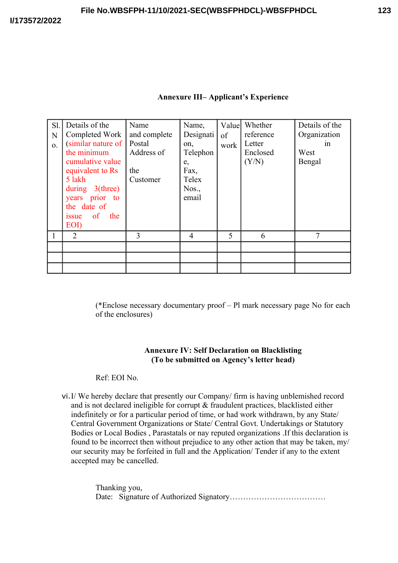## **Annexure III– Applicant's Experience**

| Sl.<br>N<br>$\Omega$ . | Details of the<br>Completed Work<br>(similar nature of<br>the minimum<br>cumulative value<br>equivalent to Rs<br>5 lakh<br>during $3$ (three)<br>years prior to<br>the date of<br>$\circ$ of<br>the<br><i>s</i> sue<br>EOI) | Name<br>and complete<br>Postal<br>Address of<br>the<br>Customer | Name,<br>Designati<br>on,<br>Telephon<br>e,<br>Fax,<br>Telex<br>Nos.,<br>email | Value<br>of<br>work | Whether<br>reference<br>Letter<br>Enclosed<br>(Y/N) | Details of the<br>Organization<br>1n<br>West<br>Bengal |
|------------------------|-----------------------------------------------------------------------------------------------------------------------------------------------------------------------------------------------------------------------------|-----------------------------------------------------------------|--------------------------------------------------------------------------------|---------------------|-----------------------------------------------------|--------------------------------------------------------|
|                        | $\overline{2}$                                                                                                                                                                                                              | 3                                                               | 4                                                                              | 5                   | 6                                                   | 7                                                      |
|                        |                                                                                                                                                                                                                             |                                                                 |                                                                                |                     |                                                     |                                                        |
|                        |                                                                                                                                                                                                                             |                                                                 |                                                                                |                     |                                                     |                                                        |
|                        |                                                                                                                                                                                                                             |                                                                 |                                                                                |                     |                                                     |                                                        |

(\*Enclose necessary documentary proof – Pl mark necessary page No for each of the enclosures)

# **Annexure IV: Self Declaration on Blacklisting (To be submitted on Agency's letter head)**

## Ref: EOI No.

vi.I/ We hereby declare that presently our Company/ firm is having unblemished record and is not declared ineligible for corrupt & fraudulent practices, blacklisted either indefinitely or for a particular period of time, or had work withdrawn, by any State/ Central Government Organizations or State/ Central Govt. Undertakings or Statutory Bodies or Local Bodies , Parastatals or nay reputed organizations .If this declaration is found to be incorrect then without prejudice to any other action that may be taken, my/ our security may be forfeited in full and the Application/ Tender if any to the extent accepted may be cancelled.

> Thanking you, Date: Signature of Authorized Signatory………………………………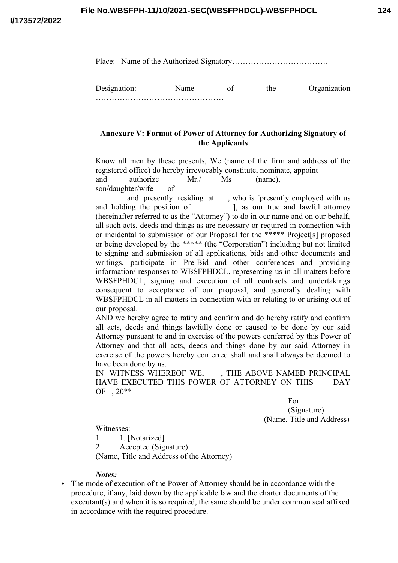Place: Name of the Authorized Signatory………………………………

Designation: Name of the Organization …………………………………………

# **Annexure V: Format of Power of Attorney for Authorizing Signatory of the Applicants**

Know all men by these presents, We (name of the firm and address of the registered office) do hereby irrevocably constitute, nominate, appoint and authorize Mr./ Ms (name), son/daughter/wife of

and presently residing at , who is [presently employed with us and holding the position of  $\qquad$ ], as our true and lawful attorney (hereinafter referred to as the "Attorney") to do in our name and on our behalf, all such acts, deeds and things as are necessary or required in connection with or incidental to submission of our Proposal for the \*\*\*\*\* Project[s] proposed or being developed by the \*\*\*\*\* (the "Corporation") including but not limited to signing and submission of all applications, bids and other documents and writings, participate in Pre-Bid and other conferences and providing information/ responses to WBSFPHDCL, representing us in all matters before WBSFPHDCL, signing and execution of all contracts and undertakings consequent to acceptance of our proposal, and generally dealing with WBSFPHDCL in all matters in connection with or relating to or arising out of our proposal.

AND we hereby agree to ratify and confirm and do hereby ratify and confirm all acts, deeds and things lawfully done or caused to be done by our said Attorney pursuant to and in exercise of the powers conferred by this Power of Attorney and that all acts, deeds and things done by our said Attorney in exercise of the powers hereby conferred shall and shall always be deemed to have been done by us.

IN WITNESS WHEREOF WE, THE ABOVE NAMED PRINCIPAL HAVE EXECUTED THIS POWER OF ATTORNEY ON THIS DAY OF , 20\*\*

> For (Signature) (Name, Title and Address)

Witnesses:

1 1. [Notarized] 2 Accepted (Signature) (Name, Title and Address of the Attorney)

#### *Notes:*

• The mode of execution of the Power of Attorney should be in accordance with the procedure, if any, laid down by the applicable law and the charter documents of the executant(s) and when it is so required, the same should be under common seal affixed in accordance with the required procedure.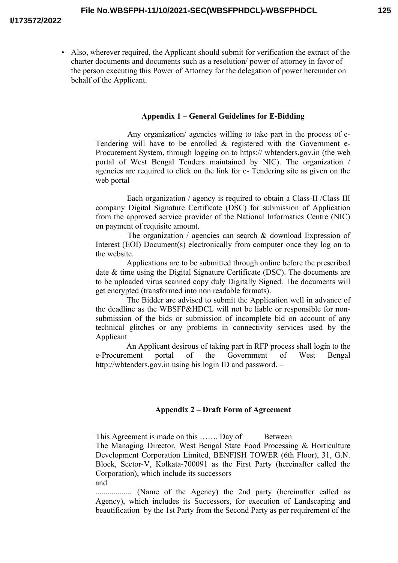• Also, wherever required, the Applicant should submit for verification the extract of the charter documents and documents such as a resolution/ power of attorney in favor of the person executing this Power of Attorney for the delegation of power hereunder on behalf of the Applicant.

#### **Appendix 1 – General Guidelines for E-Bidding**

Any organization/ agencies willing to take part in the process of e-Tendering will have to be enrolled & registered with the Government e-Procurement System, through logging on to https:// wbtenders.gov.in (the web portal of West Bengal Tenders maintained by NIC). The organization / agencies are required to click on the link for e- Tendering site as given on the web portal

Each organization / agency is required to obtain a Class-II /Class III company Digital Signature Certificate (DSC) for submission of Application from the approved service provider of the National Informatics Centre (NIC) on payment of requisite amount.

The organization / agencies can search  $&$  download Expression of Interest (EOI) Document(s) electronically from computer once they log on to the website.

Applications are to be submitted through online before the prescribed date & time using the Digital Signature Certificate (DSC). The documents are to be uploaded virus scanned copy duly Digitally Signed. The documents will get encrypted (transformed into non readable formats).

The Bidder are advised to submit the Application well in advance of the deadline as the WBSFP&HDCL will not be liable or responsible for nonsubmission of the bids or submission of incomplete bid on account of any technical glitches or any problems in connectivity services used by the Applicant

An Applicant desirous of taking part in RFP process shall login to the e-Procurement portal of the Government of West Bengal http://wbtenders.gov.in using his login ID and password. –

#### **Appendix 2 – Draft Form of Agreement**

This Agreement is made on this ……. Day of Between The Managing Director, West Bengal State Food Processing & Horticulture Development Corporation Limited, BENFISH TOWER (6th Floor), 31, G.N. Block, Sector-V, Kolkata-700091 as the First Party (hereinafter called the Corporation), which include its successors and

……………… (Name of the Agency) the 2nd party (hereinafter called as Agency), which includes its Successors, for execution of Landscaping and beautification by the 1st Party from the Second Party as per requirement of the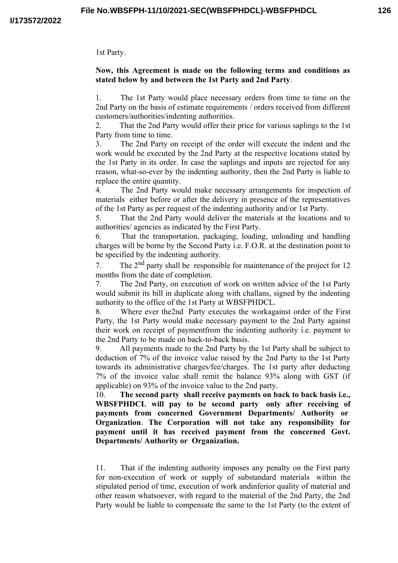1st Party.

## **Now, this Agreement is made on the following terms and conditions as stated below by and between the 1st Party and 2nd Party**.

1. The 1st Party would place necessary orders from time to time on the 2nd Party on the basis of estimate requirements / orders received from different customers/authorities/indenting authorities.

2. That the 2nd Party would offer their price for various saplings to the 1st Party from time to time.

3. The 2nd Party on receipt of the order will execute the indent and the work would be executed by the 2nd Party at the respective locations stated by the 1st Party in its order. In case the saplings and inputs are rejected for any reason, what-so-ever by the indenting authority, then the 2nd Party is liable to replace the entire quantity.

4. The 2nd Party would make necessary arrangements for inspection of materials either before or after the delivery in presence of the representatives of the 1st Party as per request of the indenting authority and/or 1st Party.

5. That the 2nd Party would deliver the materials at the locations and to authorities/ agencies as indicated by the First Party.

6. That the transportation, packaging, loading, unloading and handling charges will be borne by the Second Party i.e. F.O.R. at the destination point to be specified by the indenting authority.

7. The 2<sup>nd</sup> party shall be responsible for maintenance of the project for 12 months from the date of completion.

7. The 2nd Party, on execution of work on written advice of the 1st Party would submit its bill in duplicate along with challans, signed by the indenting authority to the office of the 1st Party at WBSFPHDCL.

8. Where ever the2nd Party executes the workagainst order of the First Party, the 1st Party would make necessary payment to the 2nd Party against their work on receipt of paymentfrom the indenting authority i.e. payment to the 2nd Party to be made on back-to-back basis.

9. All payments made to the 2nd Party by the 1st Party shall be subject to deduction of 7% of the invoice value raised by the 2nd Party to the 1st Party towards its administrative charges/fee/charges. The 1st party after deducting 7% of the invoice value shall remit the balance 93% along with GST (if applicable) on 93% of the invoice value to the 2nd party.

10. **The second party shall receive payments on back to back basis i.e., WBSFPHDCL will pay to be second party only after receiving of payments from concerned Government Departments/ Authority or Organization**. **The Corporation will not take any responsibility for payment until it has received payment from the concerned Govt. Departments/ Authority or Organization.**

11. That if the indenting authority imposes any penalty on the First party for non-execution of work or supply of substandard materials within the stipulated period of time, execution of work andinferior quality of material and other reason whatsoever, with regard to the material of the 2nd Party, the 2nd Party would be liable to compensate the same to the 1st Party (to the extent of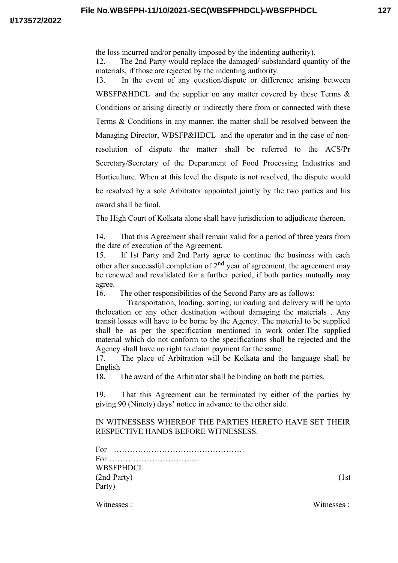the loss incurred and/or penalty imposed by the indenting authority).

12. The 2nd Party would replace the damaged/ substandard quantity of the materials, if those are rejected by the indenting authority.

13. In the event of any question/dispute or difference arising between WBSFP&HDCL and the supplier on any matter covered by these Terms  $\&$ Conditions or arising directly or indirectly there from or connected with these Terms & Conditions in any manner, the matter shall be resolved between the Managing Director, WBSFP&HDCL and the operator and in the case of nonresolution of dispute the matter shall be referred to the ACS/Pr Secretary/Secretary of the Department of Food Processing Industries and Horticulture. When at this level the dispute is not resolved, the dispute would be resolved by a sole Arbitrator appointed jointly by the two parties and his award shall be final.

The High Court of Kolkata alone shall have jurisdiction to adjudicate thereon.

14. That this Agreement shall remain valid for a period of three years from the date of execution of the Agreement.

15. If 1st Party and 2nd Party agree to continue the business with each other after successful completion of  $2<sup>nd</sup>$  year of agreement, the agreement may be renewed and revalidated for a further period, if both parties mutually may agree.

16. The other responsibilities of the Second Party are as follows:

Transportation, loading, sorting, unloading and delivery will be upto thelocation or any other destination without damaging the materials . Any transit losses will have to be borne by the Agency. The material to be supplied shall be as per the specification mentioned in work order.The supplied material which do not conform to the specifications shall be rejected and the Agency shall have no right to claim payment for the same.

17. The place of Arbitration will be Kolkata and the language shall be English

18. The award of the Arbitrator shall be binding on both the parties.

19. That this Agreement can be terminated by either of the parties by giving 90 (Ninety) days' notice in advance to the other side.

IN WITNESSESS WHEREOF THE PARTIES HERETO HAVE SET THEIR RESPECTIVE HANDS BEFORE WITNESSESS.

For …………………………………………. For…………………………….. WBSFPHDCL (2nd Party) (1st Party)

Witnesses : Witnesses : Witnesses : Witnesses : Witnesses : Witnesses : Witnesses : Witnesses : Witnesses : Witnesses : Witnesses : Witnesses :  $N \cdot N \cdot N \cdot M$